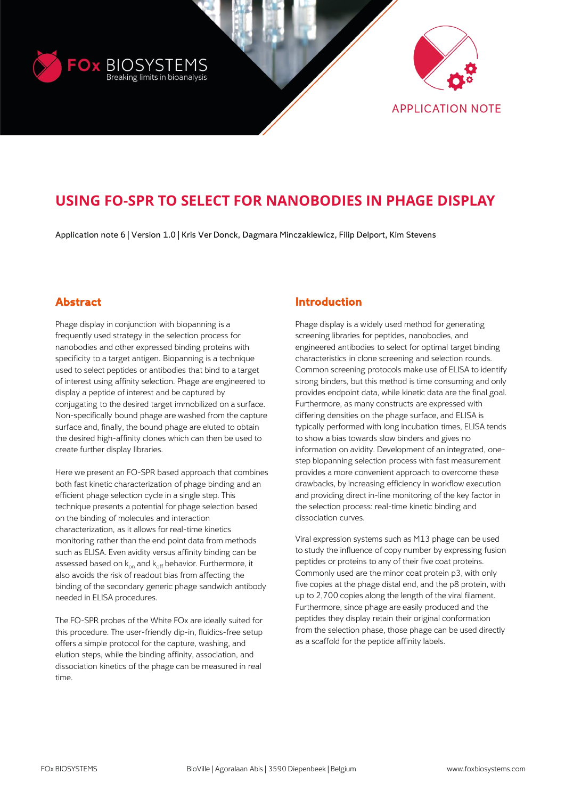



# **USING FO-SPR TO SELECT FOR NANOBODIES IN PHAGE DISPLAY**

Application note 6 | Version 1.0 | Kris Ver Donck, Dagmara Minczakiewicz, Filip Delport, Kim Stevens

# **Abstract**

Phage display in conjunction with biopanning is a frequently used strategy in the selection process for nanobodies and other expressed binding proteins with specificity to a target antigen. Biopanning is a technique used to select peptides or antibodies that bind to a target of interest using affinity selection. Phage are engineered to display a peptide of interest and be captured by conjugating to the desired target immobilized on a surface. Non-specifically bound phage are washed from the capture surface and, finally, the bound phage are eluted to obtain the desired high-affinity clones which can then be used to create further display libraries.

Here we present an FO-SPR based approach that combines both fast kinetic characterization of phage binding and an efficient phage selection cycle in a single step. This technique presents a potential for phage selection based on the binding of molecules and interaction characterization, as it allows for real-time kinetics monitoring rather than the end point data from methods such as ELISA. Even avidity versus affinity binding can be assessed based on  $k_{on}$  and  $k_{off}$  behavior. Furthermore, it also avoids the risk of readout bias from affecting the binding of the secondary generic phage sandwich antibody needed in ELISA procedures.

The FO-SPR probes of the White FOx are ideally suited for this procedure. The user-friendly dip-in, fluidics-free setup offers a simple protocol for the capture, washing, and elution steps, while the binding affinity, association, and dissociation kinetics of the phage can be measured in real time.

## **Introduction**

Phage display is a widely used method for generating screening libraries for peptides, nanobodies, and engineered antibodies to select for optimal target binding characteristics in clone screening and selection rounds. Common screening protocols make use of ELISA to identify strong binders, but this method is time consuming and only provides endpoint data, while kinetic data are the final goal. Furthermore, as many constructs are expressed with differing densities on the phage surface, and ELISA is typically performed with long incubation times, ELISA tends to show a bias towards slow binders and gives no information on avidity. Development of an integrated, onestep biopanning selection process with fast measurement provides a more convenient approach to overcome these drawbacks, by increasing efficiency in workflow execution and providing direct in-line monitoring of the key factor in the selection process: real-time kinetic binding and dissociation curves.

Viral expression systems such as M13 phage can be used to study the influence of copy number by expressing fusion peptides or proteins to any of their five coat proteins. Commonly used are the minor coat protein p3, with only five copies at the phage distal end, and the p8 protein, with up to 2,700 copies along the length of the viral filament. Furthermore, since phage are easily produced and the peptides they display retain their original conformation from the selection phase, those phage can be used directly as a scaffold for the peptide affinity labels.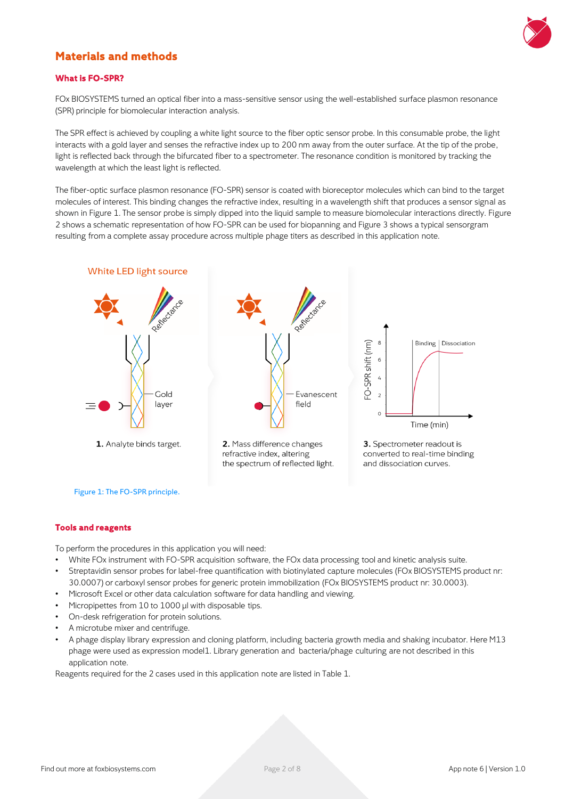

# **Materials and methods**

### **What is FO-SPR?**

FOx BIOSYSTEMS turned an optical fiber into a mass-sensitive sensor using the well-established surface plasmon resonance (SPR) principle for biomolecular interaction analysis.

The SPR effect is achieved by coupling a white light source to the fiber optic sensor probe. In this consumable probe, the light interacts with a gold layer and senses the refractive index up to 200 nm away from the outer surface. At the tip of the probe, light is reflected back through the bifurcated fiber to a spectrometer. The resonance condition is monitored by tracking the wavelength at which the least light is reflected.

The fiber-optic surface plasmon resonance (FO-SPR) sensor is coated with bioreceptor molecules which can bind to the target molecules of interest. This binding changes the refractive index, resulting in a wavelength shift that produces a sensor signal as shown in Figure 1. The sensor probe is simply dipped into the liquid sample to measure biomolecular interactions directly. Figure 2 shows a schematic representation of how FO-SPR can be used for biopanning and Figure 3 shows a typical sensorgram resulting from a complete assay procedure across multiple phage titers as described in this application note.



#### **Tools and reagents**

To perform the procedures in this application you will need:

- White FOx instrument with FO-SPR acquisition software, the FOx data processing tool and kinetic analysis suite.
- Streptavidin sensor probes for label-free quantification with biotinylated capture molecules (FOx BIOSYSTEMS product nr: 30.0007) or carboxyl sensor probes for generic protein immobilization (FOx BIOSYSTEMS product nr: 30.0003).
- Microsoft Excel or other data calculation software for data handling and viewing.
- Micropipettes from 10 to 1000 µl with disposable tips.
- On-desk refrigeration for protein solutions.
- A microtube mixer and centrifuge.
- A phage display library expression and cloning platform, including bacteria growth media and shaking incubator. Here M13 phage were used as expression model1. Library generation and bacteria/phage culturing are not described in this application note.

Reagents required for the 2 cases used in this application note are listed in Table 1.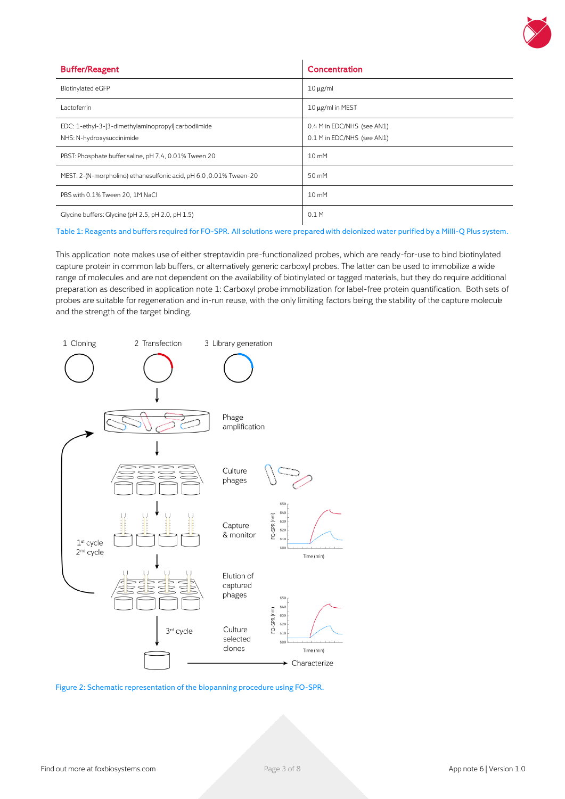

| <b>Buffer/Reagent</b>                                                            | Concentration                                            |
|----------------------------------------------------------------------------------|----------------------------------------------------------|
| Biotinylated eGFP                                                                | $10 \mu$ g/ml                                            |
| Lactoferrin                                                                      | 10 μg/ml in MEST                                         |
| EDC: 1-ethyl-3-[3-dimethylaminopropyl] carbodiimide<br>NHS: N-hydroxysuccinimide | 0.4 M in EDC/NHS (see AN1)<br>0.1 M in EDC/NHS (see AN1) |
| PBST: Phosphate buffer saline, pH 7.4, 0.01% Tween 20                            | 10 mM                                                    |
| MEST: 2-(N-morpholino) ethanesulfonic acid, pH 6.0, 0.01% Tween-20               | 50 mM                                                    |
| PBS with 0.1% Tween 20, 1M NaCl                                                  | 10 mM                                                    |
| Glycine buffers: Glycine (pH 2.5, pH 2.0, pH 1.5)                                | 0.1M                                                     |

#### Table 1: Reagents and buffers required for FO-SPR. All solutions were prepared with deionized water purified by a Milli-Q Plus system.

This application note makes use of either streptavidin pre-functionalized probes, which are ready-for-use to bind biotinylated capture protein in common lab buffers, or alternatively generic carboxyl probes. The latter can be used to immobilize a wide range of molecules and are not dependent on the availability of biotinylated or tagged materials, but they do require additional preparation as described in application note 1: Carboxyl probe immobilization for label-free protein quantification. Both sets of probes are suitable for regeneration and in-run reuse, with the only limiting factors being the stability of the capture molecule and the strength of the target binding.



Figure 2: Schematic representation of the biopanning procedure using FO-SPR.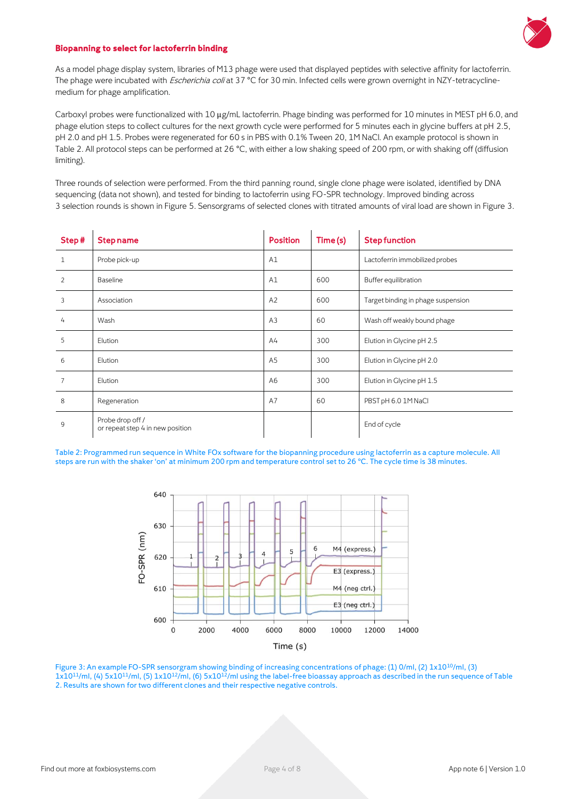

#### **Biopanning to select for lactoferrin binding**

As a model phage display system, libraries of M13 phage were used that displayed peptides with selective affinity for lactoferrin. The phage were incubated with *Escherichia coli* at 37 °C for 30 min. Infected cells were grown overnight in NZY-tetracyclinemedium for phage amplification.

Carboxyl probes were functionalized with 10 μg/mL lactoferrin. Phage binding was performed for 10 minutes in MEST pH 6.0, and phage elution steps to collect cultures for the next growth cycle were performed for 5 minutes each in glycine buffers at pH 2.5, pH 2.0 and pH 1.5. Probes were regenerated for 60 s in PBS with 0.1% Tween 20, 1M NaCl. An example protocol is shown in Table 2. All protocol steps can be performed at 26 °C, with either a low shaking speed of 200 rpm, or with shaking off (diffusion limiting).

Three rounds of selection were performed. From the third panning round, single clone phage were isolated, identified by DNA sequencing (data not shown), and tested for binding to lactoferrin using FO-SPR technology. Improved binding across 3 selection rounds is shown in Figure 5. Sensorgrams of selected clones with titrated amounts of viral load are shown in Figure 3.

| Step#          | <b>Step name</b>                                     | <b>Position</b> | Time(s) | <b>Step function</b>               |
|----------------|------------------------------------------------------|-----------------|---------|------------------------------------|
| $\mathbf{1}$   | Probe pick-up                                        | A1              |         | Lactoferrin immobilized probes     |
| 2              | <b>Baseline</b>                                      | A1              | 600     | Buffer equilibration               |
| 3              | Association                                          | A2              | 600     | Target binding in phage suspension |
| 4              | Wash                                                 | A <sub>3</sub>  | 60      | Wash off weakly bound phage        |
| 5              | Elution                                              | A <sup>4</sup>  | 300     | Elution in Glycine pH 2.5          |
| 6              | Elution                                              | A <sub>5</sub>  | 300     | Elution in Glycine pH 2.0          |
| $\overline{7}$ | Elution                                              | A6              | 300     | Elution in Glycine pH 1.5          |
| 8              | Regeneration                                         | A7              | 60      | PBST pH 6.0 1M NaCl                |
| 9              | Probe drop off /<br>or repeat step 4 in new position |                 |         | End of cycle                       |

Table 2: Programmed run sequence in White FOx software for the biopanning procedure using lactoferrin as a capture molecule. All steps are run with the shaker 'on' at minimum 200 rpm and temperature control set to 26 °C. The cycle time is 38 minutes.



Figure 3: An example FO-SPR sensorgram showing binding of increasing concentrations of phage: (1) 0/ml, (2) 1x10<sup>10</sup>/ml, (3) 1x10<sup>11</sup>/ml, (4) 5x10<sup>11</sup>/ml, (5) 1x10<sup>12</sup>/ml, (6) 5x10<sup>12</sup>/ml using the label-free bioassay approach as described in the run sequence of Table 2. Results are shown for two different clones and their respective negative controls.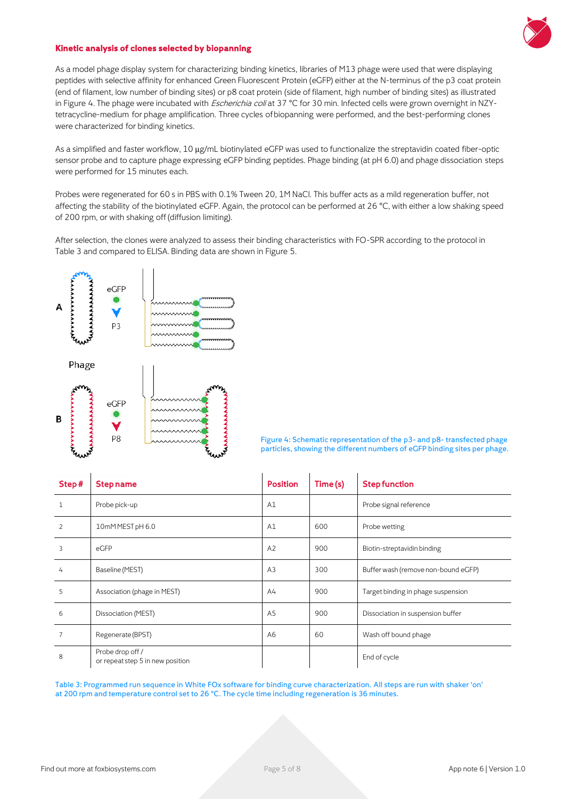

#### **Kinetic analysis of clones selected by biopanning**

As a model phage display system for characterizing binding kinetics, libraries of M13 phage were used that were displaying peptides with selective affinity for enhanced Green Fluorescent Protein (eGFP) either at the N-terminus of the p3 coat protein (end of filament, low number of binding sites) or p8 coat protein (side of filament, high number of binding sites) as illustrated in Figure 4. The phage were incubated with *Escherichia coli* at 37 °C for 30 min. Infected cells were grown overnight in NZYtetracycline-medium for phage amplification. Three cycles of biopanning were performed, and the best-performing clones were characterized for binding kinetics.

As a simplified and faster workflow, 10 μg/mL biotinylated eGFP was used to functionalize the streptavidin coated fiber-optic sensor probe and to capture phage expressing eGFP binding peptides. Phage binding (at pH 6.0) and phage dissociation steps were performed for 15 minutes each.

Probes were regenerated for 60 s in PBS with 0.1% Tween 20, 1M NaCl. This buffer acts as a mild regeneration buffer, not affecting the stability of the biotinylated eGFP. Again, the protocol can be performed at 26 °C, with either a low shaking speed of 200 rpm, or with shaking off (diffusion limiting).

After selection, the clones were analyzed to assess their binding characteristics with FO-SPR according to the protocol in Table 3 and compared to ELISA. Binding data are shown in Figure 5.



Figure 4: Schematic representation of the p3- and p8- transfected phage particles, showing the different numbers of eGFP binding sites per phage.

| Step#          | <b>Step name</b>                                     | <b>Position</b> | Time (s) | <b>Step function</b>                |
|----------------|------------------------------------------------------|-----------------|----------|-------------------------------------|
| $\mathbf{1}$   | Probe pick-up                                        | A1              |          | Probe signal reference              |
| $\overline{2}$ | 10mMMEST pH 6.0                                      | A1              | 600      | Probe wetting                       |
| 3              | eGFP                                                 | A2              | 900      | Biotin-streptavidin binding         |
| 4              | Baseline (MEST)                                      | A <sub>3</sub>  | 300      | Buffer wash (remove non-bound eGFP) |
| 5              | Association (phage in MEST)                          | A4              | 900      | Target binding in phage suspension  |
| 6              | Dissociation (MEST)                                  | A <sub>5</sub>  | 900      | Dissociation in suspension buffer   |
| 7              | Regenerate (BPST)                                    | A <sub>6</sub>  | 60       | Wash off bound phage                |
| 8              | Probe drop off /<br>or repeat step 5 in new position |                 |          | End of cycle                        |

Table 3: Programmed run sequence in White FOx software for binding curve characterization. All steps are run with shaker 'on' at 200 rpm and temperature control set to 26 °C. The cycle time including regeneration is 36 minutes.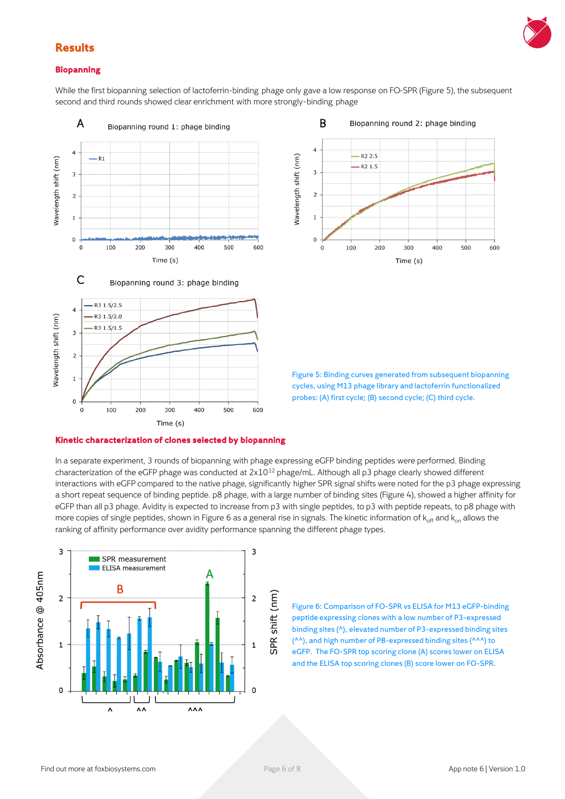

# **Results**

### **Biopanning**

While the first biopanning selection of lactoferrin-binding phage only gave a low response on FO-SPR (Figure 5), the subsequent second and third rounds showed clear enrichment with more strongly-binding phage





Figure 5: Binding curves generated from subsequent biopanning cycles, using M13 phage library and lactoferrin functionalized probes: (A) first cycle; (B) second cycle; (C) third cycle.

### **Kinetic characterization of clones selected by biopanning**

In a separate experiment, 3 rounds of biopanning with phage expressing eGFP binding peptides were performed. Binding characterization of the eGFP phage was conducted at 2x10<sup>12</sup> phage/mL. Although all p3 phage clearly showed different interactions with eGFP compared to the native phage, significantly higher SPR signal shifts were noted for the p3 phage expressing a short repeat sequence of binding peptide. p8 phage, with a large number of binding sites (Figure 4), showed a higher affinity for eGFP than all p3 phage. Avidity is expected to increase from p3 with single peptides, to p3 with peptide repeats, to p8 phage with more copies of single peptides, shown in Figure 6 as a general rise in signals. The kinetic information of  $k_{off}$  and  $k_{on}$  allows the ranking of affinity performance over avidity performance spanning the different phage types.



Figure 6: Comparison of FO-SPR vs ELISA for M13 eGFP-binding peptide expressing clones with a low number of P3-expressed binding sites (^), elevated number of P3-expressed binding sites (^^), and high number of P8-expressed binding sites (^^^) to eGFP. The FO-SPR top scoring clone (A) scores lower on ELISA and the ELISA top scoring clones (B) score lower on FO-SPR.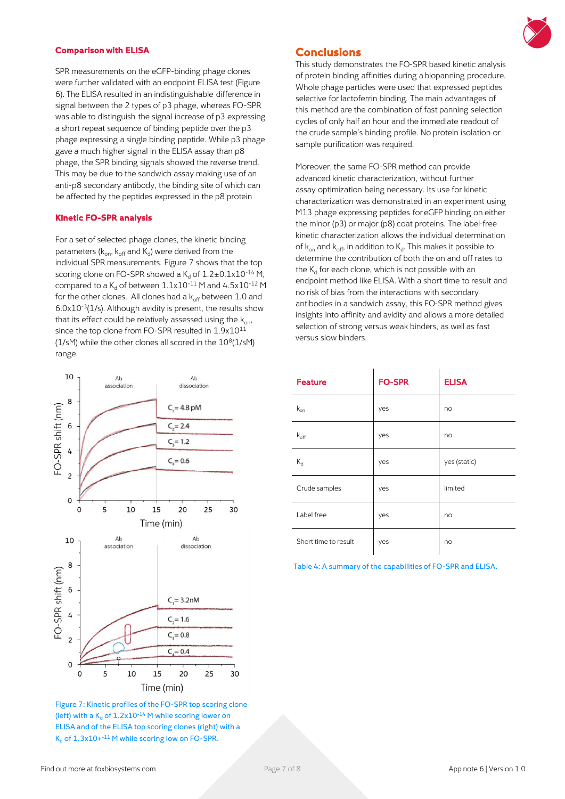#### **Comparison with ELISA**

SPR measurements on the eGFP-binding phage clones were further validated with an endpoint ELISA test (Figure 6). The ELISA resulted in an indistinguishable difference in signal between the 2 types of p3 phage, whereas FO-SPR was able to distinguish the signal increase of p3 expressing a short repeat sequence of binding peptide over the p3 phage expressing a single binding peptide. While p3 phage gave a much higher signal in the ELISA assay than p8 phage, the SPR binding signals showed the reverse trend. This may be due to the sandwich assay making use of an anti-p8 secondary antibody, the binding site of which can be affected by the peptides expressed in the p8 protein

### **Kinetic FO-SPR analysis**

For a set of selected phage clones, the kinetic binding parameters (k<sub>on</sub>, k<sub>off</sub> and K<sub>d</sub>) were derived from the individual SPR measurements. Figure 7 shows that the top scoring clone on FO-SPR showed a  $K_d$  of  $1.2\pm0.1x10^{-14}$  M, compared to a  $K_d$  of between  $1.1x10^{-11}$  M and  $4.5x10^{-12}$  M for the other clones. All clones had a  $k_{off}$  between 1.0 and 6.0x10-3 (1/s). Although avidity is present, the results show that its effect could be relatively assessed using the  $k_{on}$ . since the top clone from FO-SPR resulted in 1.9x10<sup>11</sup> ( $1$ /sM) while the other clones all scored in the  $10^8(1/\text{sM})$ range.



Figure 7: Kinetic profiles of the FO-SPR top scoring clone (left) with a  $K_d$  of  $1.2x10^{-14}$  M while scoring lower on ELISA and of the ELISA top scoring clones (right) with a  $K_d$  of  $1.3x10+11$  M while scoring low on FO-SPR.



### **Conclusions**

This study demonstrates the FO-SPR based kinetic analysis of protein binding affinities during a biopanning procedure. Whole phage particles were used that expressed peptides selective for lactoferrin binding. The main advantages of this method are the combination of fast panning selection cycles of only half an hour and the immediate readout of the crude sample's binding profile. No protein isolation or sample purification was required.

Moreover, the same FO-SPR method can provide advanced kinetic characterization, without further assay optimization being necessary. Its use for kinetic characterization was demonstrated in an experiment using M13 phage expressing peptides for eGFP binding on either the minor (p3) or major (p8) coat proteins. The label-free kinetic characterization allows the individual determination of k $_{\sf on}$  and k $_{\sf off}$ , in addition to  $\mathsf{K}_{\sf d}$ . This makes it possible to determine the contribution of both the on and off rates to the  $\mathsf{K}_{\mathsf{d}}$  for each clone, which is not possible with an endpoint method like ELISA. With a short time to result and no risk of bias from the interactions with secondary antibodies in a sandwich assay, this FO-SPR method gives insights into affinity and avidity and allows a more detailed selection of strong versus weak binders, as well as fast versus slow binders.

| <b>Feature</b>       | <b>FO-SPR</b> | <b>ELISA</b> |
|----------------------|---------------|--------------|
| $k_{on}$             | yes           | no           |
| $k_{off}$            | yes           | no           |
| $K_d$                | yes           | yes (static) |
| Crude samples        | yes           | limited      |
| Label free           | yes           | no           |
| Short time to result | yes           | no           |

 $\mathbf{i}$ 

Table 4: A summary of the capabilities of FO-SPR and ELISA.